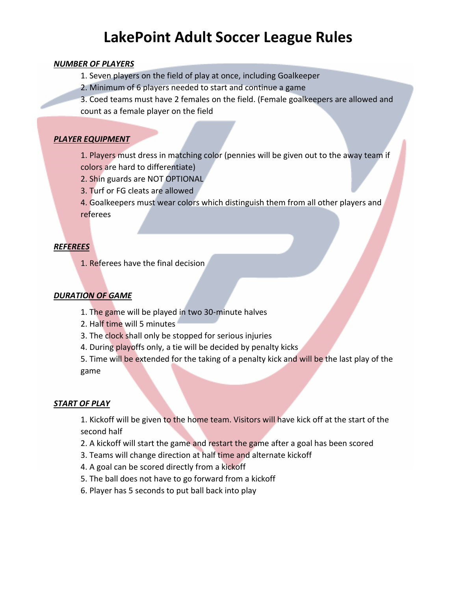# **LakePoint Adult Soccer League Rules**

#### *NUMBER OF PLAYERS*

- 1. Seven players on the field of play at once, including Goalkeeper
- 2. Minimum of 6 players needed to start and continue a game
- 3. Coed teams must have 2 females on the field. (Female goalkeepers are allowed and count as a female player on the field

# *PLAYER EQUIPMENT*

1. Players must dress in matching color (pennies will be given out to the away team if colors are hard to differentiate)

- 2. Shin guards are NOT OPTIONAL
- 3. Turf or FG cleats are allowed

4. Goalkeepers must wear colors which distinguish them from all other players and referees

# *REFEREES*

1. Referees have the final decision

# *DURATION OF GAME*

- 1. The game will be played in two 30-minute halves
- 2. Half time will 5 minutes
- 3. The clock shall only be stopped for serious injuries
- 4. During playoffs only, a tie will be decided by penalty kicks

5. Time will be extended for the taking of a penalty kick and will be the last play of the game

#### *START OF PLAY*

1. Kickoff will be given to the home team. Visitors will have kick off at the start of the second half

- 2. A kickoff will start the game and restart the game after a goal has been scored
- 3. Teams will change direction at half time and alternate kickoff
- 4. A goal can be scored directly from a kickoff
- 5. The ball does not have to go forward from a kickoff
- 6. Player has 5 seconds to put ball back into play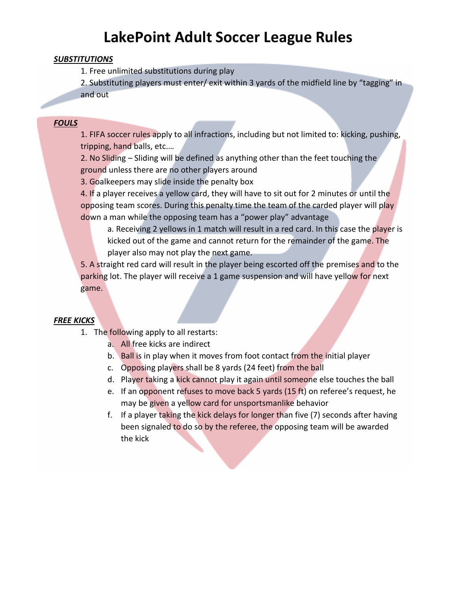# **LakePoint Adult Soccer League Rules**

#### *SUBSTITUTIONS*

1. Free unlimited substitutions during play

2. Substituting players must enter/ exit within 3 yards of the midfield line by "tagging" in and out

### *FOULS*

1. FIFA soccer rules apply to all infractions, including but not limited to: kicking, pushing, tripping, hand balls, etc.…

2. No Sliding – Sliding will be defined as anything other than the feet touching the ground unless there are no other players around

3. Goalkeepers may slide inside the penalty box

4. If a player receives a yellow card, they will have to sit out for 2 minutes or until the opposing team scores. During this penalty time the team of the carded player will play down a man while the opposing team has a "power play" advantage

a. Receiving 2 yellows in 1 match will result in a red card. In this case the player is kicked out of the game and cannot return for the remainder of the game. The player also may not play the next game.

5. A straight red card will result in the player being escorted off the premises and to the parking lot. The player will receive a 1 game suspension and will have yellow for next game.

# *FREE KICKS*

- 1. The following apply to all restarts:
	- a. All free kicks are indirect
	- b. Ball is in play when it moves from foot contact from the initial player
	- c. Opposing players shall be 8 yards (24 feet) from the ball
	- d. Player taking a kick cannot play it again until someone else touches the ball
	- e. If an opponent refuses to move back 5 yards (15 ft) on referee's request, he may be given a yellow card for unsportsmanlike behavior
	- f. If a player taking the kick delays for longer than five (7) seconds after having been signaled to do so by the referee, the opposing team will be awarded the kick